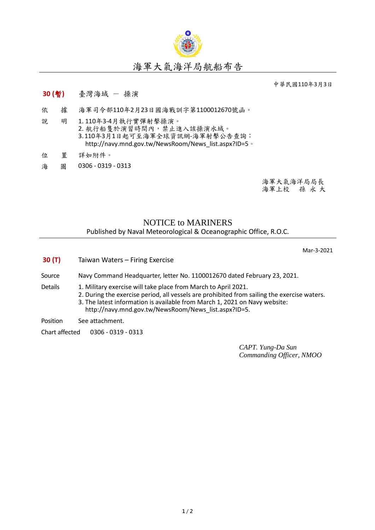

## 海軍大氣海洋局航船布告

中華民國110年3月3日

## **30 (**暫**)** 臺灣海域 - 操演

- 依 據 海軍司令部110年2月23日國海戰訓字第1100012670號函。
- 說 明 1. 110年3-4月執行實彈射擊操演。 2. 航行船隻於演習時間內,禁止進入該操演水域。 3.110年3月1日起可至海軍全球資訊網-海軍射擊公告查詢: [http://navy.mnd.gov.tw/NewsRoom/News\\_list.aspx?ID=5](http://navy.mnd.gov.tw/NewsRoom/News_list.aspx?ID=5)。
- 位 置 詳如附件。
- 海 圖 0306 0319 0313

海軍大氣海洋局局長 海軍上校 孫 永 大

## NOTICE to MARINERS Published by Naval Meteorological & Oceanographic Office, R.O.C.

Mar-3-2021

- **30 (T)** Taiwan Waters Firing Exercise
- Source Navy Command Headquarter, letter No. 1100012670 dated February 23, 2021.
- 
- Details 1. Military exercise will take place from March to April 2021.
	- 2. During the exercise period, all vessels are prohibited from sailing the exercise waters. 3. The latest information is available from March 1, 2021 on Navy website:
		- [http://navy.mnd.gov.tw/NewsRoom/News\\_list.aspx?ID=5.](http://navy.mnd.gov.tw/NewsRoom/News_list.aspx?ID=5)

Position See attachment.

Chart affected 0306 - 0319 - 0313

*CAPT. Yung-Da Sun Commanding Officer, NMOO*